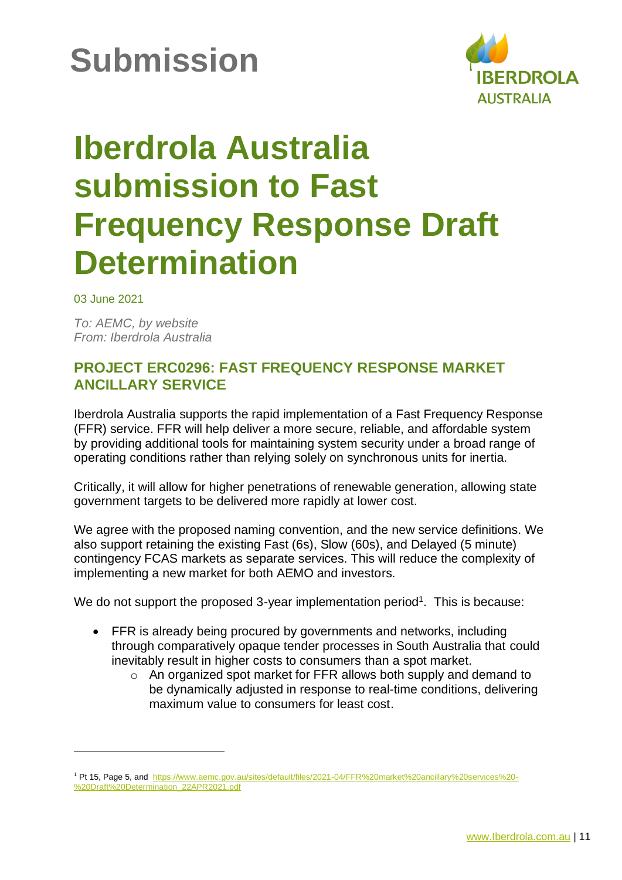## **Submission**



## **Iberdrola Australia submission to Fast Frequency Response Draft Determination**

03 June 2021

*To: AEMC, by website From: Iberdrola Australia*

## **PROJECT ERC0296: FAST FREQUENCY RESPONSE MARKET ANCILLARY SERVICE**

Iberdrola Australia supports the rapid implementation of a Fast Frequency Response (FFR) service. FFR will help deliver a more secure, reliable, and affordable system by providing additional tools for maintaining system security under a broad range of operating conditions rather than relying solely on synchronous units for inertia.

Critically, it will allow for higher penetrations of renewable generation, allowing state government targets to be delivered more rapidly at lower cost.

We agree with the proposed naming convention, and the new service definitions. We also support retaining the existing Fast (6s), Slow (60s), and Delayed (5 minute) contingency FCAS markets as separate services. This will reduce the complexity of implementing a new market for both AEMO and investors.

We do not support the proposed 3-year implementation period<sup>1</sup>. This is because:

- FFR is already being procured by governments and networks, including through comparatively opaque tender processes in South Australia that could inevitably result in higher costs to consumers than a spot market.
	- o An organized spot market for FFR allows both supply and demand to be dynamically adjusted in response to real-time conditions, delivering maximum value to consumers for least cost.

<sup>&</sup>lt;sup>1</sup> Pt 15, Page 5, and [https://www.aemc.gov.au/sites/default/files/2021-04/FFR%20market%20ancillary%20services%20-](https://www.aemc.gov.au/sites/default/files/2021-04/FFR%20market%20ancillary%20services%20-%20Draft%20Determination_22APR2021.pdf) [%20Draft%20Determination\\_22APR2021.pdf](https://www.aemc.gov.au/sites/default/files/2021-04/FFR%20market%20ancillary%20services%20-%20Draft%20Determination_22APR2021.pdf)